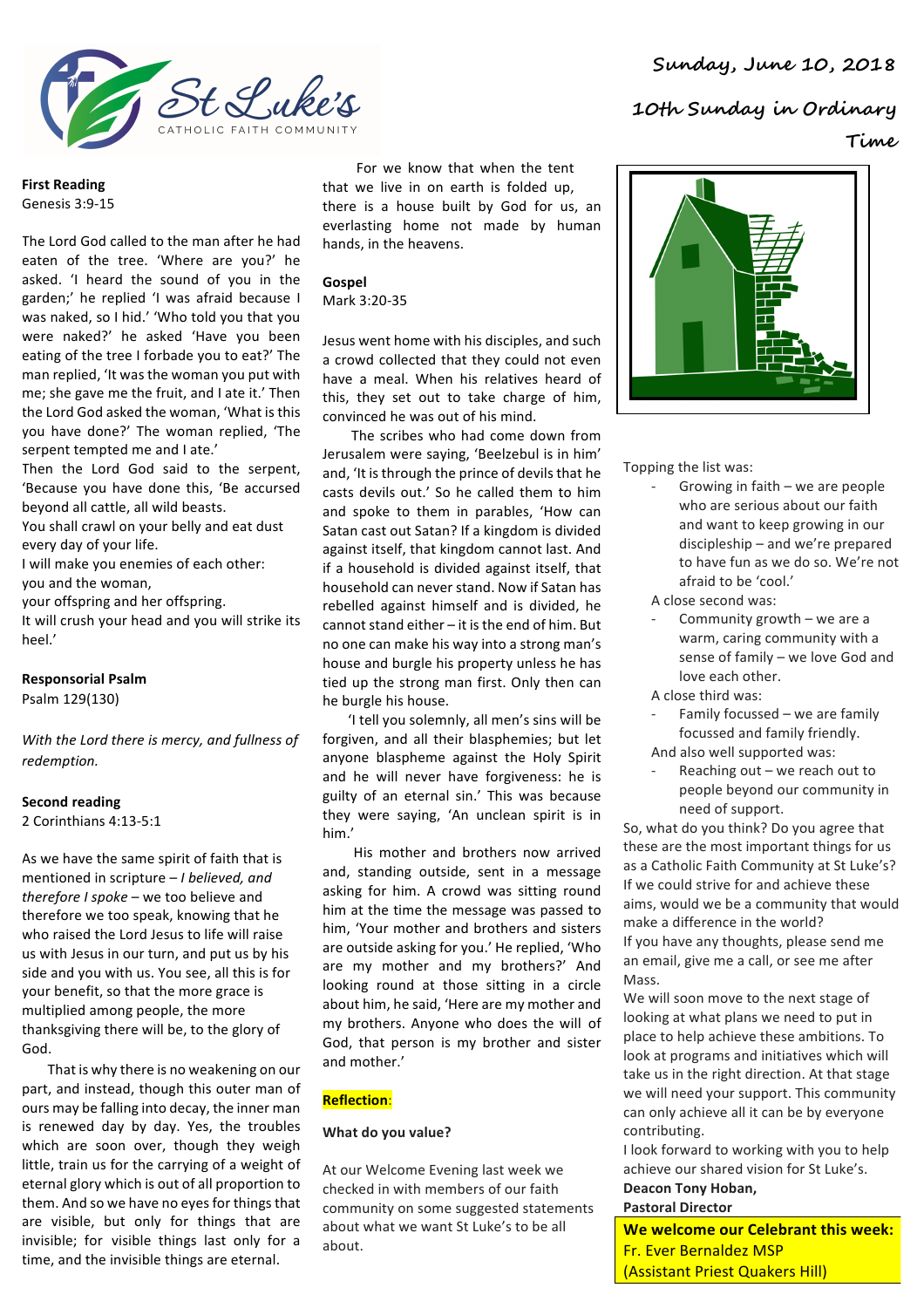

The Lord God called to the man after he had eaten of the tree. 'Where are you?' he asked. 'I heard the sound of you in the garden;' he replied 'I was afraid because I was naked, so I hid.' 'Who told you that you were naked?' he asked 'Have you been eating of the tree I forbade you to eat?' The man replied, 'It was the woman you put with me; she gave me the fruit, and I ate it.' Then the Lord God asked the woman, 'What is this you have done?' The woman replied, 'The serpent tempted me and I ate.'

Then the Lord God said to the serpent, 'Because you have done this, 'Be accursed beyond all cattle, all wild beasts.

You shall crawl on your belly and eat dust every day of your life.

I will make you enemies of each other: you and the woman,

your offspring and her offspring.

It will crush your head and you will strike its heel.'

#### **Responsorial Psalm**

Psalm 129(130)

With the Lord there is mercy, and fullness of *redemption.*

#### **Second reading**

2 Corinthians 4:13-5:1

As we have the same spirit of faith that is mentioned in scripture - *I believed, and therefore I spoke* – we too believe and therefore we too speak, knowing that he who raised the Lord Jesus to life will raise us with Jesus in our turn, and put us by his side and you with us. You see, all this is for your benefit, so that the more grace is multiplied among people, the more thanksgiving there will be, to the glory of God.

That is why there is no weakening on our part, and instead, though this outer man of ours may be falling into decay, the inner man is renewed day by day. Yes, the troubles which are soon over, though they weigh little, train us for the carrying of a weight of eternal glory which is out of all proportion to them. And so we have no eyes for things that are visible, but only for things that are invisible; for visible things last only for a time, and the invisible things are eternal.

For we know that when the tent that we live in on earth is folded up, there is a house built by God for us, an everlasting home not made by human hands, in the heavens.

#### **Gospel**

Mark 3:20-35

Jesus went home with his disciples, and such a crowd collected that they could not even have a meal. When his relatives heard of this, they set out to take charge of him, convinced he was out of his mind.

The scribes who had come down from Jerusalem were saying, 'Beelzebul is in him' and, 'It is through the prince of devils that he casts devils out.' So he called them to him and spoke to them in parables. 'How can Satan cast out Satan? If a kingdom is divided against itself, that kingdom cannot last. And if a household is divided against itself, that household can never stand. Now if Satan has rebelled against himself and is divided, he cannot stand  $either - it$  is the end of him. But no one can make his way into a strong man's house and burgle his property unless he has tied up the strong man first. Only then can he burgle his house.

'I tell you solemnly, all men's sins will be forgiven, and all their blasphemies; but let anyone blaspheme against the Holy Spirit and he will never have forgiveness: he is guilty of an eternal sin.' This was because they were saying, 'An unclean spirit is in him.'

His mother and brothers now arrived and, standing outside, sent in a message asking for him. A crowd was sitting round him at the time the message was passed to him. 'Your mother and brothers and sisters are outside asking for you.' He replied, 'Who are my mother and my brothers?' And looking round at those sitting in a circle about him, he said, 'Here are my mother and my brothers. Anyone who does the will of God, that person is my brother and sister and mother.'

### **Reflection**:

#### **What do you value?**

At our Welcome Evening last week we checked in with members of our faith community on some suggested statements about what we want St Luke's to be all about.

**Sunday, June 10, 2018**

**10th Sunday in Ordinary** 

**Time**



Topping the list was:

- Growing in faith  $-$  we are people who are serious about our faith and want to keep growing in our discipleship  $-$  and we're prepared to have fun as we do so. We're not afraid to be 'cool.'
- A close second was:
	- Community growth  $-$  we are a warm, caring community with a sense of family  $-$  we love God and love each other.
- A close third was:
- Family focussed  $-$  we are family focussed and family friendly.
- And also well supported was:
- Reaching out  $-$  we reach out to people beyond our community in need of support.

So, what do you think? Do you agree that these are the most important things for us as a Catholic Faith Community at St Luke's? If we could strive for and achieve these aims, would we be a community that would make a difference in the world? If you have any thoughts, please send me an email, give me a call, or see me after Mass.

We will soon move to the next stage of looking at what plans we need to put in place to help achieve these ambitions. To look at programs and initiatives which will take us in the right direction. At that stage we will need your support. This community can only achieve all it can be by everyone contributing.

I look forward to working with you to help achieve our shared vision for St Luke's. **Deacon Tony Hoban,**

#### **Pastoral Director**

**We welcome our Celebrant this week: Fr. Ever Bernaldez MSP** (Assistant Priest Quakers Hill)